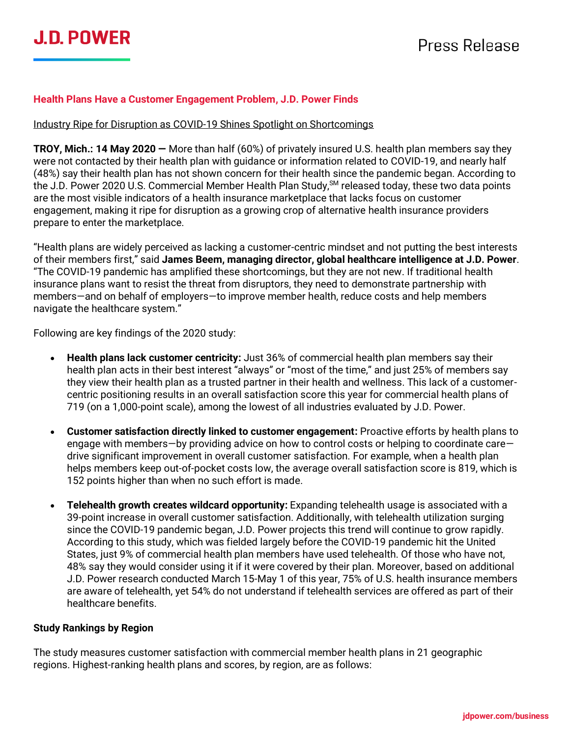#### **Health Plans Have a Customer Engagement Problem, J.D. Power Finds**

#### Industry Ripe for Disruption as COVID-19 Shines Spotlight on Shortcomings

**TROY, Mich.: 14 May 2020 —** More than half (60%) of privately insured U.S. health plan members say they were not contacted by their health plan with guidance or information related to COVID-19, and nearly half (48%) say their health plan has not shown concern for their health since the pandemic began. According to the J.D. Power 2020 U.S. Commercial Member Health Plan Study, <sup>SM</sup> released today, these two data points are the most visible indicators of a health insurance marketplace that lacks focus on customer engagement, making it ripe for disruption as a growing crop of alternative health insurance providers prepare to enter the marketplace.

"Health plans are widely perceived as lacking a customer-centric mindset and not putting the best interests of their members first," said **James Beem, managing director, global healthcare intelligence at J.D. Power**. "The COVID-19 pandemic has amplified these shortcomings, but they are not new. If traditional health insurance plans want to resist the threat from disruptors, they need to demonstrate partnership with members—and on behalf of employers—to improve member health, reduce costs and help members navigate the healthcare system."

Following are key findings of the 2020 study:

- **Health plans lack customer centricity:** Just 36% of commercial health plan members say their health plan acts in their best interest "always" or "most of the time," and just 25% of members say they view their health plan as a trusted partner in their health and wellness. This lack of a customercentric positioning results in an overall satisfaction score this year for commercial health plans of 719 (on a 1,000-point scale), among the lowest of all industries evaluated by J.D. Power.
- **Customer satisfaction directly linked to customer engagement:** Proactive efforts by health plans to engage with members—by providing advice on how to control costs or helping to coordinate care drive significant improvement in overall customer satisfaction. For example, when a health plan helps members keep out-of-pocket costs low, the average overall satisfaction score is 819, which is 152 points higher than when no such effort is made.
- **Telehealth growth creates wildcard opportunity:** Expanding telehealth usage is associated with a 39-point increase in overall customer satisfaction. Additionally, with telehealth utilization surging since the COVID-19 pandemic began, J.D. Power projects this trend will continue to grow rapidly. According to this study, which was fielded largely before the COVID-19 pandemic hit the United States, just 9% of commercial health plan members have used telehealth. Of those who have not, 48% say they would consider using it if it were covered by their plan. Moreover, based on additional J.D. Power research conducted March 15-May 1 of this year, 75% of U.S. health insurance members are aware of telehealth, yet 54% do not understand if telehealth services are offered as part of their healthcare benefits.

#### **Study Rankings by Region**

The study measures customer satisfaction with commercial member health plans in 21 geographic regions. Highest-ranking health plans and scores, by region, are as follows: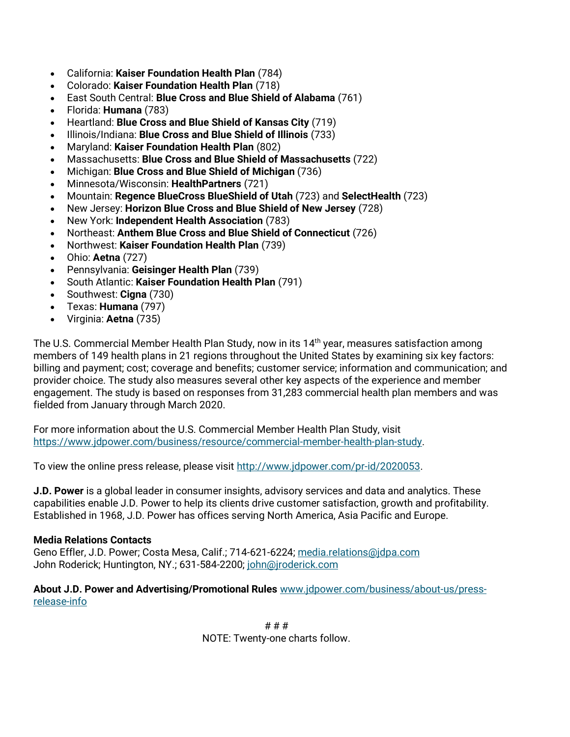- California: **Kaiser Foundation Health Plan** (784)
- Colorado: **Kaiser Foundation Health Plan** (718)
- East South Central: **Blue Cross and Blue Shield of Alabama** (761)
- Florida: **Humana** (783)
- Heartland: **Blue Cross and Blue Shield of Kansas City** (719)
- Illinois/Indiana: **Blue Cross and Blue Shield of Illinois** (733)
- Maryland: **Kaiser Foundation Health Plan** (802)
- Massachusetts: **Blue Cross and Blue Shield of Massachusetts** (722)
- Michigan: **Blue Cross and Blue Shield of Michigan** (736)
- Minnesota/Wisconsin: **HealthPartners** (721)
- Mountain: **Regence BlueCross BlueShield of Utah** (723) and **SelectHealth** (723)
- New Jersey: **Horizon Blue Cross and Blue Shield of New Jersey** (728)
- New York: **Independent Health Association** (783)
- Northeast: **Anthem Blue Cross and Blue Shield of Connecticut** (726)
- Northwest: **Kaiser Foundation Health Plan** (739)
- Ohio: **Aetna** (727)
- Pennsylvania: **Geisinger Health Plan** (739)
- South Atlantic: **Kaiser Foundation Health Plan** (791)
- Southwest: **Cigna** (730)
- Texas: **Humana** (797)
- Virginia: **Aetna** (735)

The U.S. Commercial Member Health Plan Study, now in its 14<sup>th</sup> year, measures satisfaction among members of 149 health plans in 21 regions throughout the United States by examining six key factors: billing and payment; cost; coverage and benefits; customer service; information and communication; and provider choice. The study also measures several other key aspects of the experience and member engagement. The study is based on responses from 31,283 commercial health plan members and was fielded from January through March 2020.

For more information about the U.S. Commercial Member Health Plan Study, visit [https://www.jdpower.com/business/resource/commercial-member-health-plan-study.](https://www.jdpower.com/business/resource/commercial-member-health-plan-study)

To view the online press release, please visit [http://www.jdpower.com/pr-id/2020053.](http://www.jdpower.com/pr-id/2020053)

**J.D. Power** is a global leader in consumer insights, advisory services and data and analytics. These capabilities enable J.D. Power to help its clients drive customer satisfaction, growth and profitability. Established in 1968, J.D. Power has offices serving North America, Asia Pacific and Europe.

#### **Media Relations Contacts**

Geno Effler, J.D. Power; Costa Mesa, Calif.; 714-621-6224; [media.relations@jdpa.com](mailto:media.relations@jdpa.com) John Roderick; Huntington, NY.; 631-584-2200; [john@jroderick.com](mailto:john@jroderick.com)

**About J.D. Power and Advertising/Promotional Rules** [www.jdpower.com/business/about-us/press](http://www.jdpower.com/business/about-us/press-release-info)[release-info](http://www.jdpower.com/business/about-us/press-release-info)

> # # # NOTE: Twenty-one charts follow.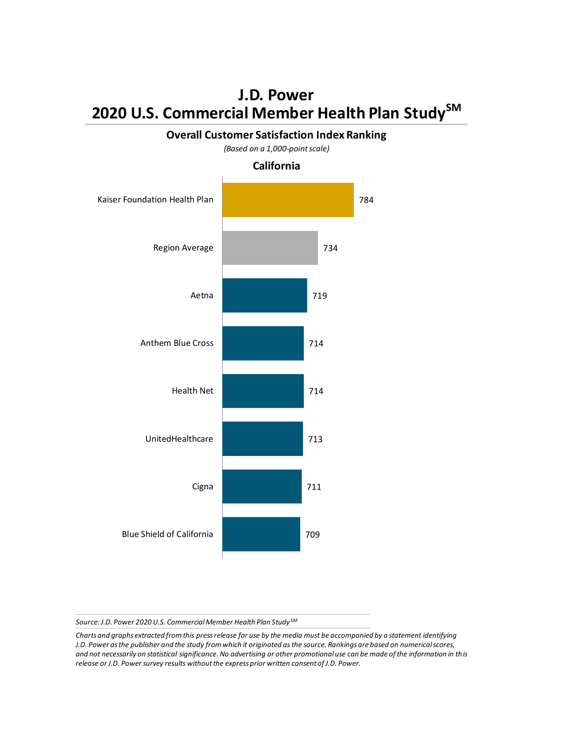

*Source: J.D. Power 2020 U.S. Commercial Member Health Plan Study SM*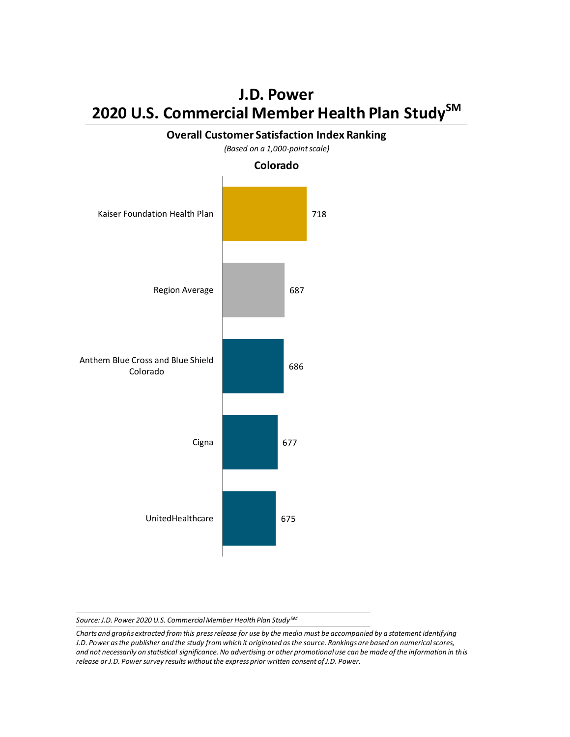

**Overall Customer Satisfaction Index Ranking**

*Source: J.D. Power 2020 U.S. Commercial Member Health Plan Study SM*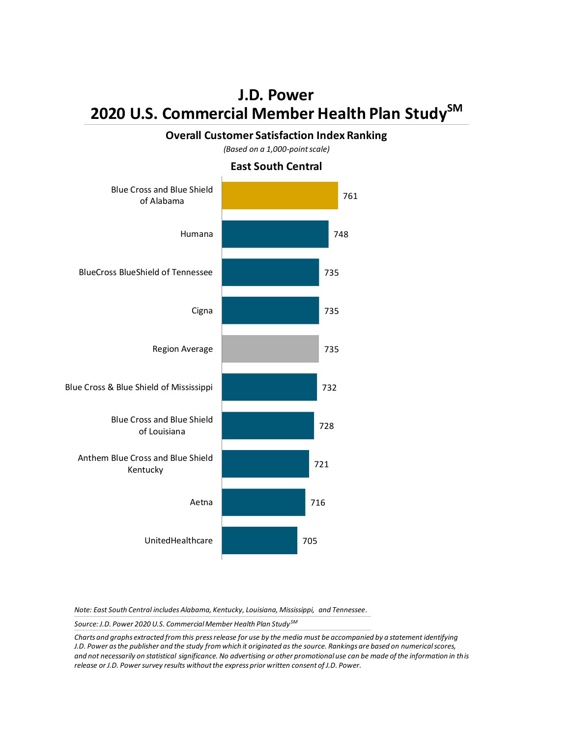#### **Overall Customer Satisfaction Index Ranking**

*(Based on a 1,000-point scale)*

**East South Central**



*Note: East South Central includes Alabama, Kentucky, Louisiana, Mississippi, and Tennessee.*

*Source: J.D. Power 2020 U.S. Commercial Member Health Plan Study SM*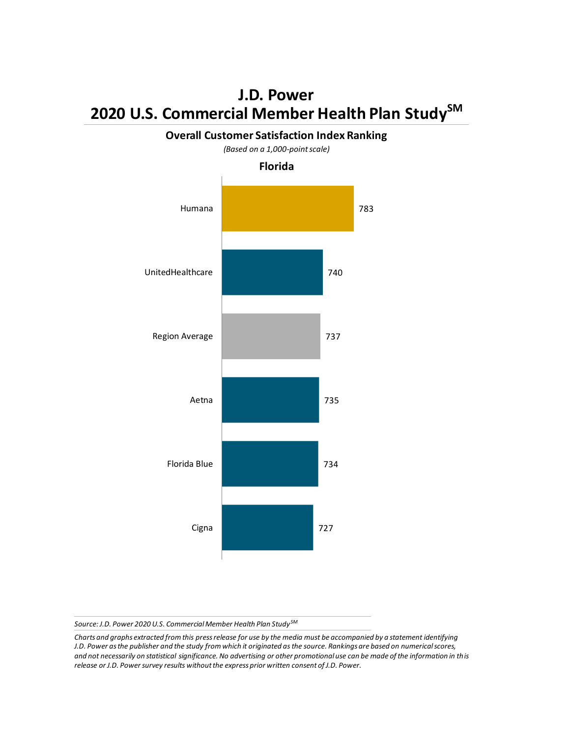

**Overall Customer Satisfaction Index Ranking**

*Source: J.D. Power 2020 U.S. Commercial Member Health Plan Study SM*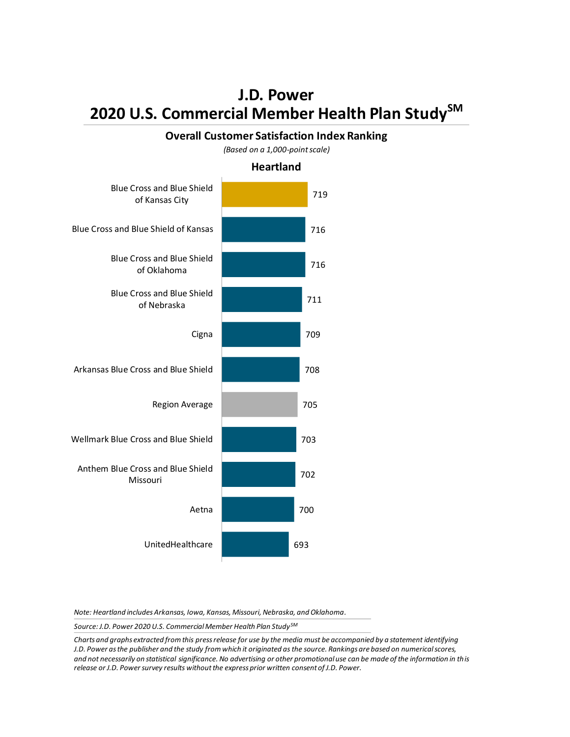#### **Overall Customer Satisfaction Index Ranking**

*(Based on a 1,000-point scale)*

#### **Heartland**



*Note: Heartland includes Arkansas, Iowa, Kansas, Missouri, Nebraska, and Oklahoma.*

*Source: J.D. Power 2020 U.S. Commercial Member Health Plan Study SM*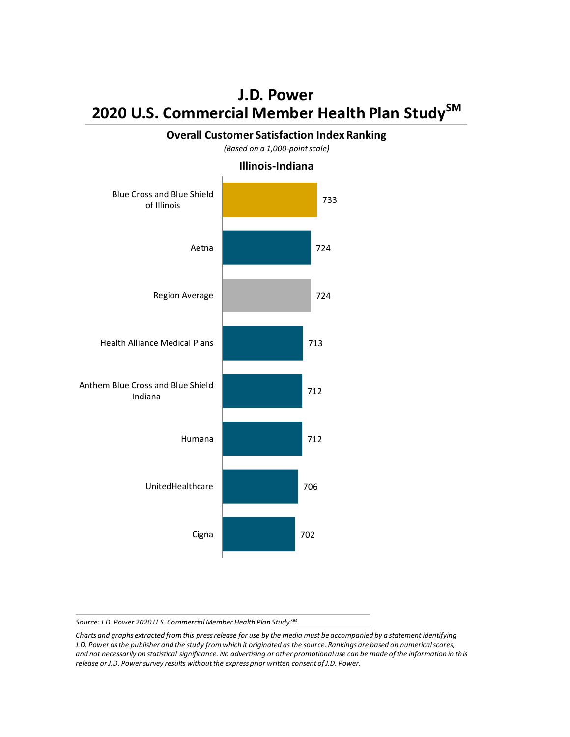#### **Overall Customer Satisfaction Index Ranking**



*(Based on a 1,000-point scale)*

*Source: J.D. Power 2020 U.S. Commercial Member Health Plan Study SM*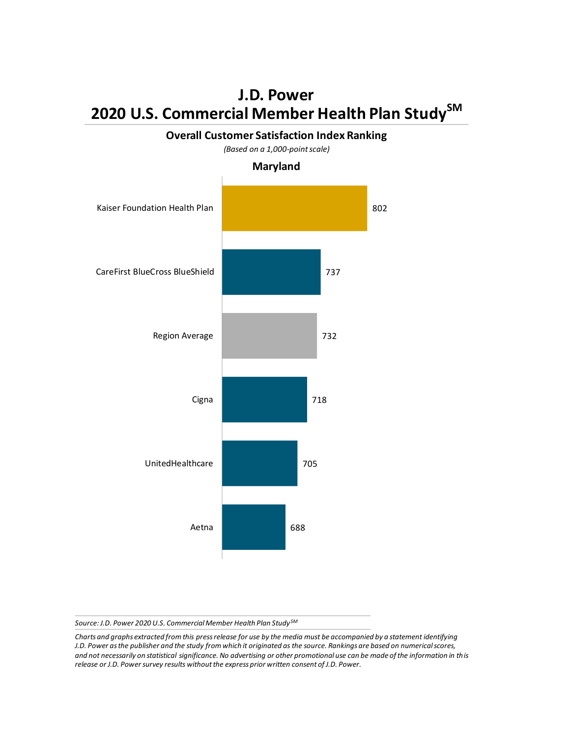## 802 737 732 718 705 688 Kaiser Foundation Health Plan CareFirst BlueCross BlueShield Region Average Cigna UnitedHealthcare Aetna *(Based on a 1,000-point scale)* **Maryland**

**Overall Customer Satisfaction Index Ranking**

*Source: J.D. Power 2020 U.S. Commercial Member Health Plan Study SM*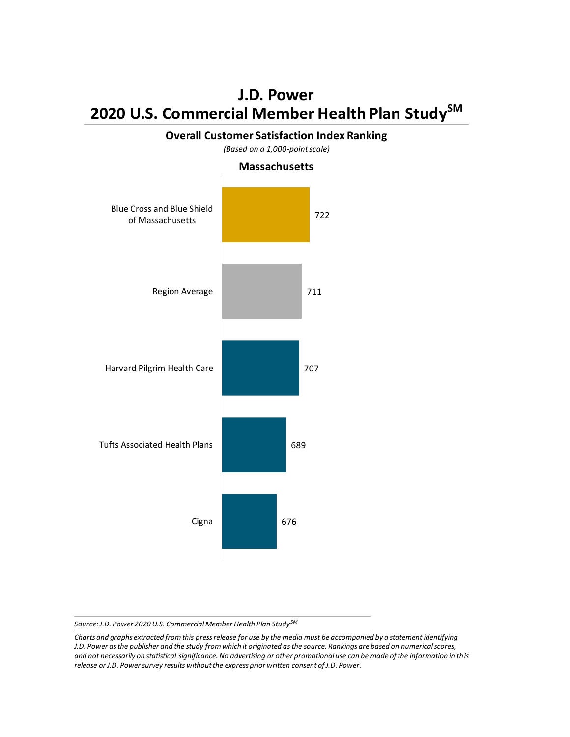# 722 711 707 689 676 Blue Cross and Blue Shield of Massachusetts Region Average Harvard Pilgrim Health Care Tufts Associated Health Plans Cigna *(Based on a 1,000-point scale)* **Massachusetts**

**Overall Customer Satisfaction Index Ranking**

*Source: J.D. Power 2020 U.S. Commercial Member Health Plan Study SM*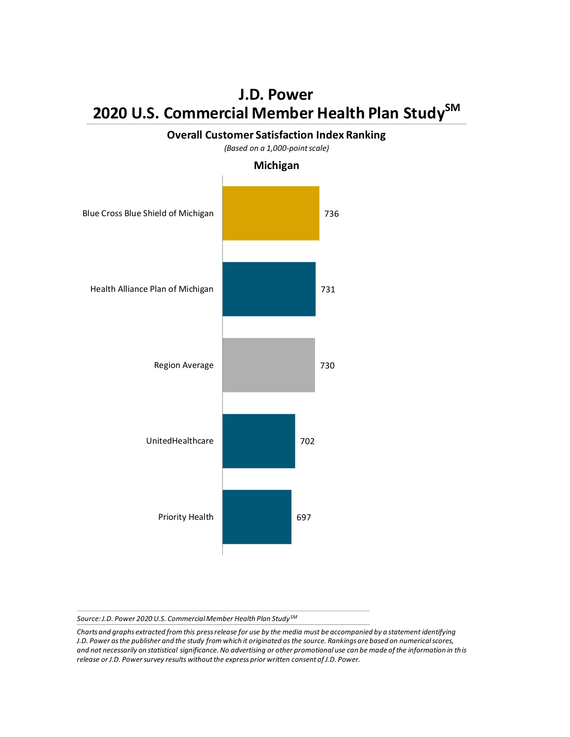

**Overall Customer Satisfaction Index Ranking**

*Source: J.D. Power 2020 U.S. Commercial Member Health Plan Study SM*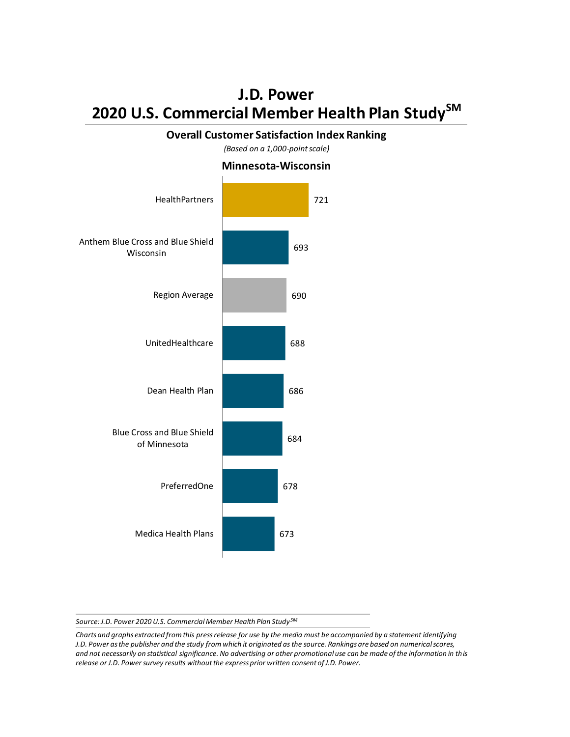#### **Overall Customer Satisfaction Index Ranking**

*(Based on a 1,000-point scale)*



**Minnesota-Wisconsin**

*Source: J.D. Power 2020 U.S. Commercial Member Health Plan Study SM*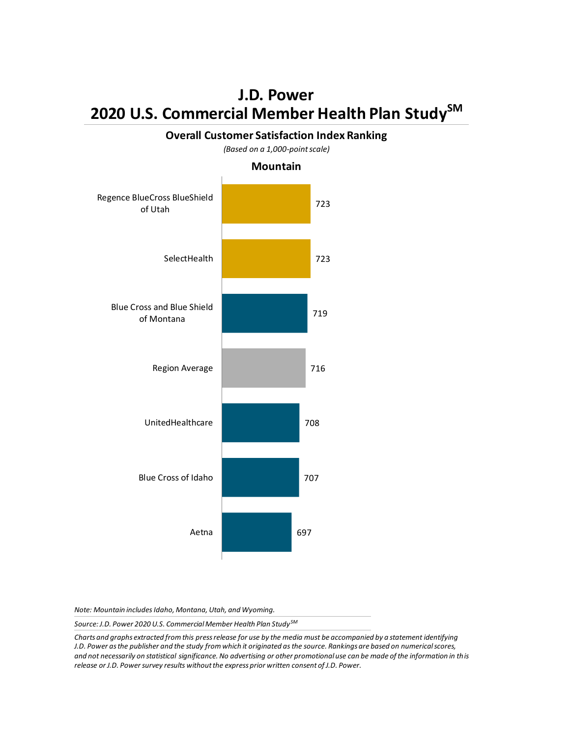## 723 723 719 716 708 707 697 Regence BlueCross BlueShield of Utah **SelectHealth** Blue Cross and Blue Shield of Montana Region Average UnitedHealthcare Blue Cross of Idaho Aetna *(Based on a 1,000-point scale)* **Mountain**

**Overall Customer Satisfaction Index Ranking**

*Note: Mountain includes Idaho, Montana, Utah, and Wyoming.*

*Source: J.D. Power 2020 U.S. Commercial Member Health Plan Study SM*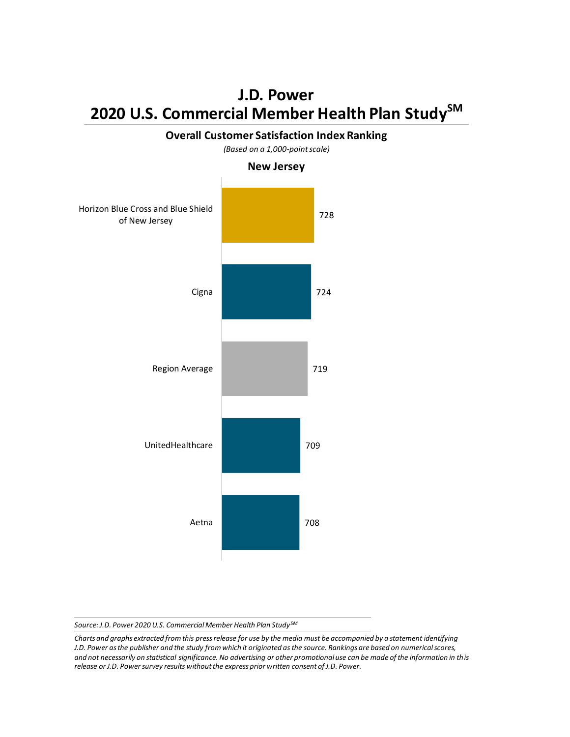

**Overall Customer Satisfaction Index Ranking**

*Source: J.D. Power 2020 U.S. Commercial Member Health Plan Study SM*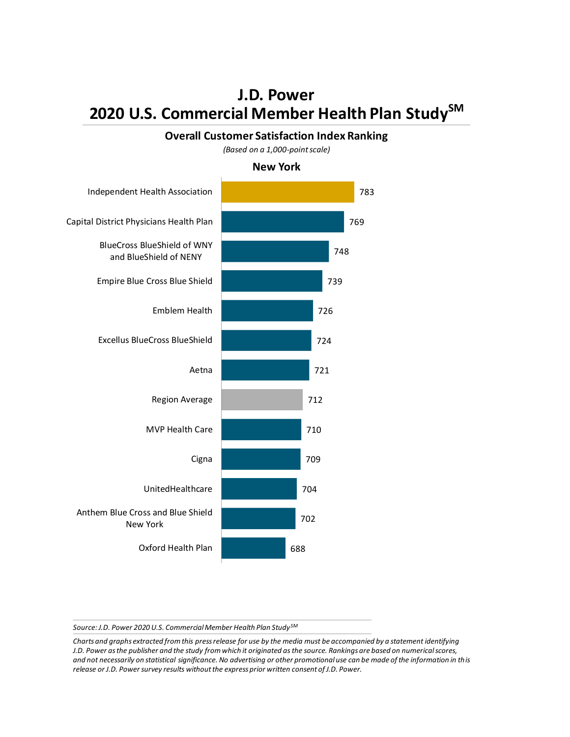#### **Overall Customer Satisfaction Index Ranking**

*(Based on a 1,000-point scale)*

**New York**



*Source: J.D. Power 2020 U.S. Commercial Member Health Plan Study SM*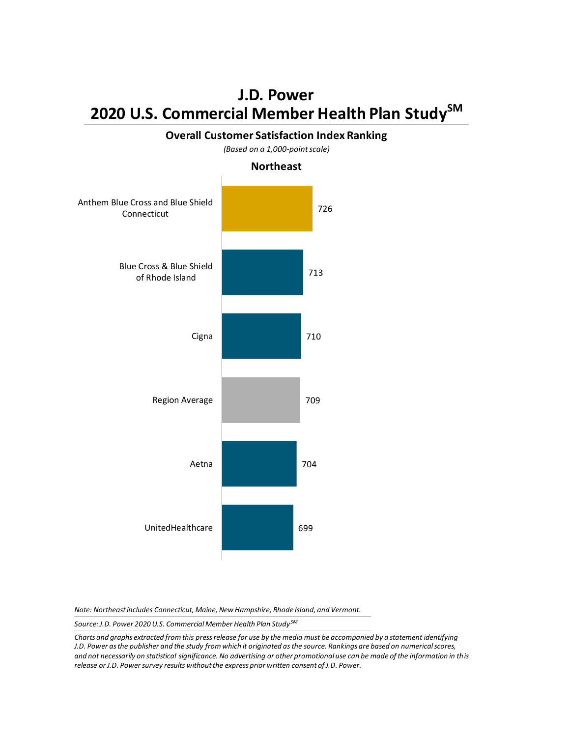

**Overall Customer Satisfaction Index Ranking**

*Note: Northeast includes Connecticut, Maine, New Hampshire, Rhode Island, and Vermont.*

*Source: J.D. Power 2020 U.S. Commercial Member Health Plan Study SM*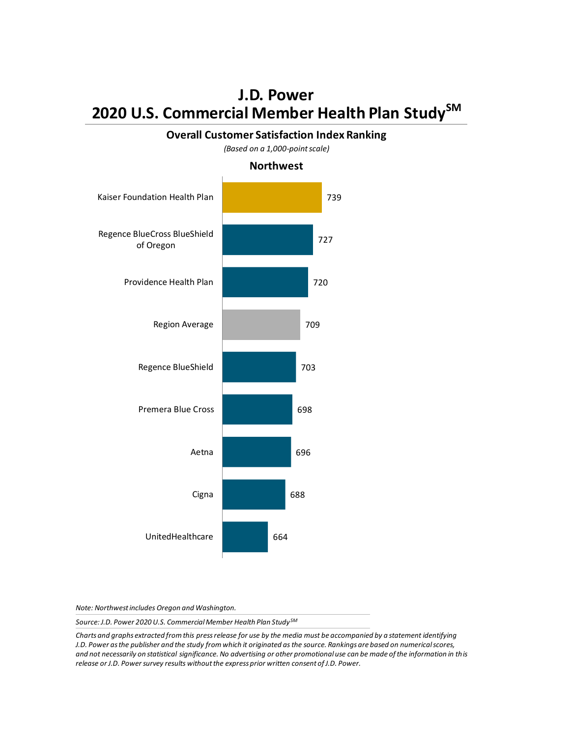#### **Overall Customer Satisfaction Index Ranking** *(Based on a 1,000-point scale)*

739 727 720 709 703 698 696 688 664 Kaiser Foundation Health Plan Regence BlueCross BlueShield of Oregon Providence Health Plan Region Average Regence BlueShield Premera Blue Cross Aetna Cigna UnitedHealthcare **Northwest**

*Note: Northwest includes Oregon and Washington.*

*Source: J.D. Power 2020 U.S. Commercial Member Health Plan Study SM*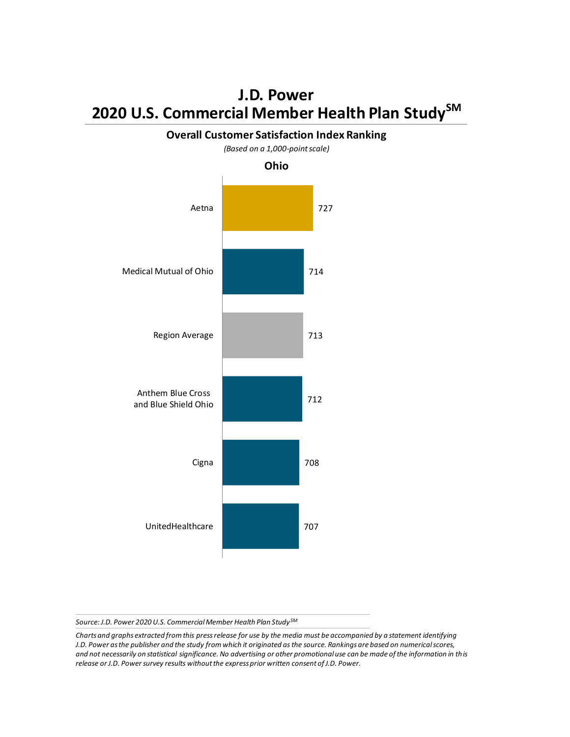

**Overall Customer Satisfaction Index Ranking**

*Source: J.D. Power 2020 U.S. Commercial Member Health Plan Study SM*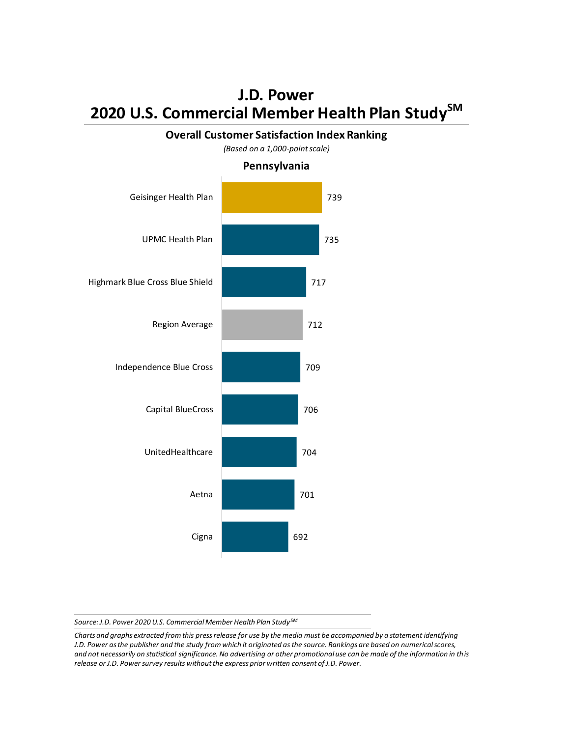#### **Overall Customer Satisfaction Index Ranking**



*(Based on a 1,000-point scale)*

*Source: J.D. Power 2020 U.S. Commercial Member Health Plan Study SM*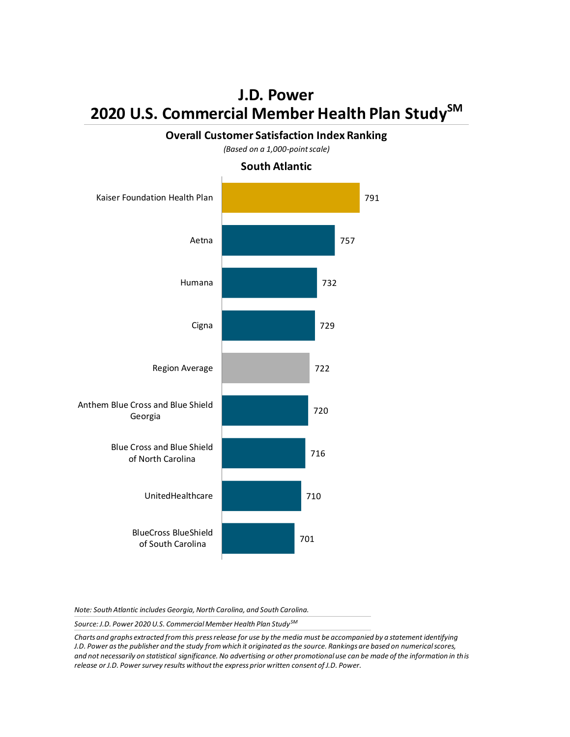#### **Overall Customer Satisfaction Index Ranking**

*(Based on a 1,000-point scale)*

#### **South Atlantic**



*Note: South Atlantic includes Georgia, North Carolina, and South Carolina.*

*Source: J.D. Power 2020 U.S. Commercial Member Health Plan Study SM*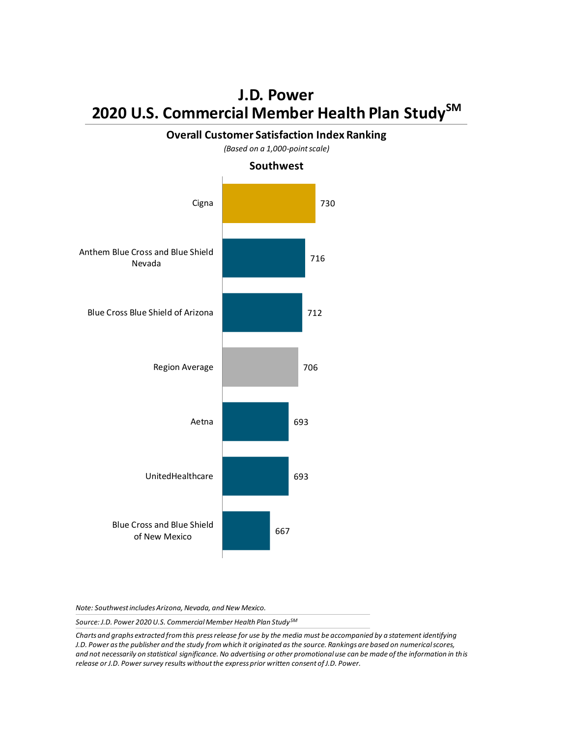#### **Overall Customer Satisfaction Index Ranking**



*(Based on a 1,000-point scale)*

*Note: Southwest includes Arizona, Nevada, and New Mexico.*

*Source: J.D. Power 2020 U.S. Commercial Member Health Plan Study SM*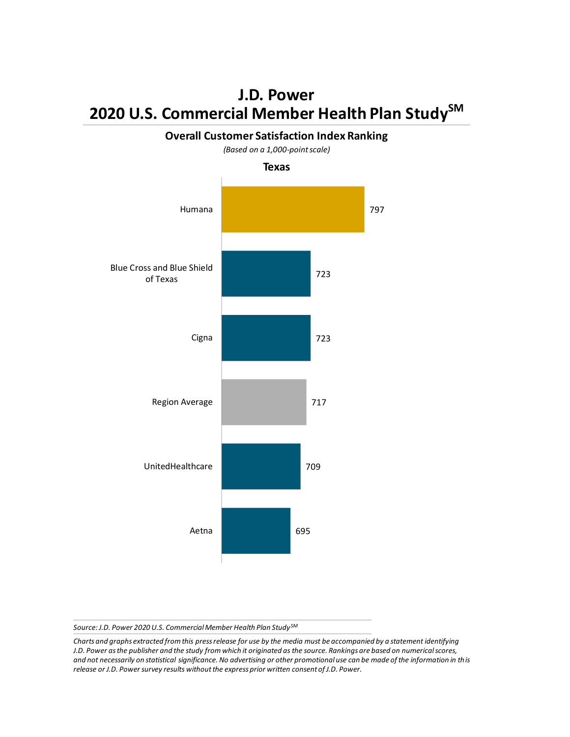

**Overall Customer Satisfaction Index Ranking**

*Source: J.D. Power 2020 U.S. Commercial Member Health Plan Study SM*